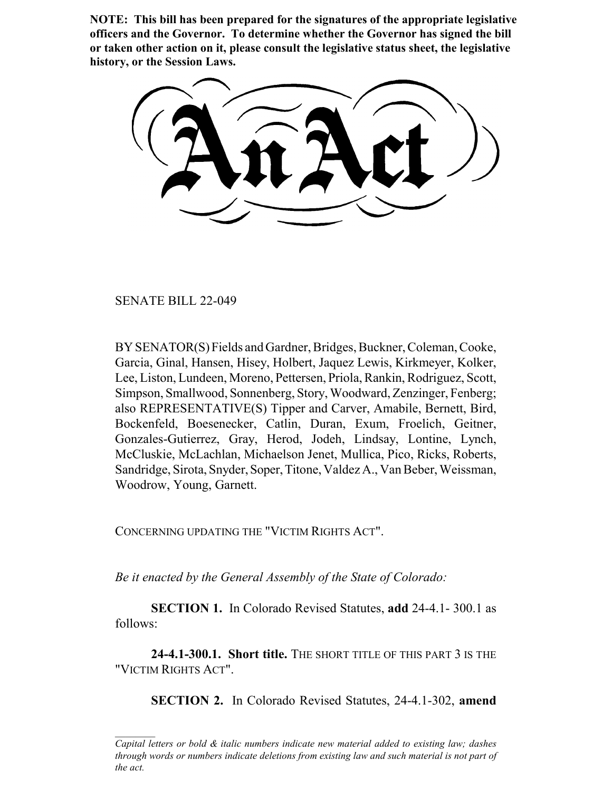**NOTE: This bill has been prepared for the signatures of the appropriate legislative officers and the Governor. To determine whether the Governor has signed the bill or taken other action on it, please consult the legislative status sheet, the legislative history, or the Session Laws.**

SENATE BILL 22-049

BY SENATOR(S) Fields and Gardner, Bridges, Buckner, Coleman, Cooke, Garcia, Ginal, Hansen, Hisey, Holbert, Jaquez Lewis, Kirkmeyer, Kolker, Lee, Liston, Lundeen, Moreno, Pettersen, Priola, Rankin, Rodriguez, Scott, Simpson, Smallwood, Sonnenberg, Story, Woodward, Zenzinger, Fenberg; also REPRESENTATIVE(S) Tipper and Carver, Amabile, Bernett, Bird, Bockenfeld, Boesenecker, Catlin, Duran, Exum, Froelich, Geitner, Gonzales-Gutierrez, Gray, Herod, Jodeh, Lindsay, Lontine, Lynch, McCluskie, McLachlan, Michaelson Jenet, Mullica, Pico, Ricks, Roberts, Sandridge, Sirota, Snyder, Soper, Titone, Valdez A., Van Beber, Weissman, Woodrow, Young, Garnett.

CONCERNING UPDATING THE "VICTIM RIGHTS ACT".

*Be it enacted by the General Assembly of the State of Colorado:*

**SECTION 1.** In Colorado Revised Statutes, **add** 24-4.1- 300.1 as follows:

**24-4.1-300.1. Short title.** THE SHORT TITLE OF THIS PART 3 IS THE "VICTIM RIGHTS ACT".

**SECTION 2.** In Colorado Revised Statutes, 24-4.1-302, **amend**

*Capital letters or bold & italic numbers indicate new material added to existing law; dashes through words or numbers indicate deletions from existing law and such material is not part of the act.*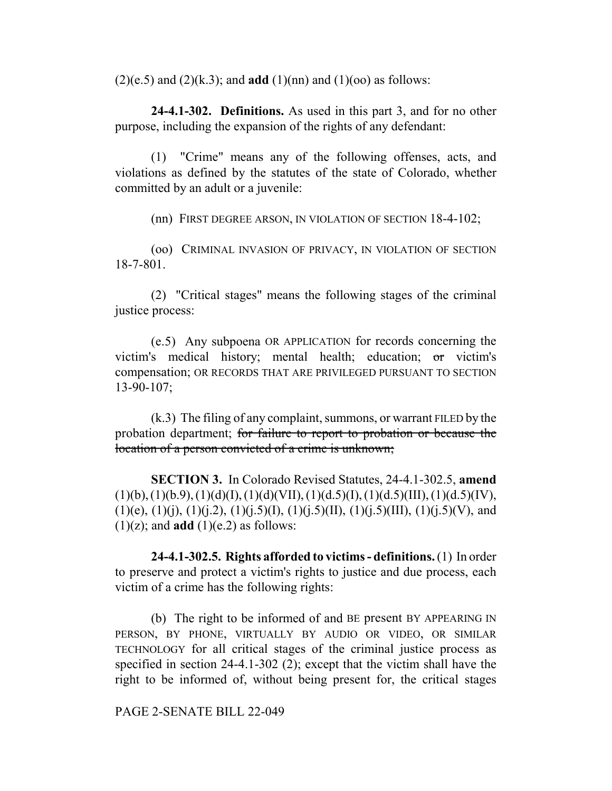$(2)(e.5)$  and  $(2)(k.3)$ ; and **add**  $(1)(nn)$  and  $(1)(oo)$  as follows:

**24-4.1-302. Definitions.** As used in this part 3, and for no other purpose, including the expansion of the rights of any defendant:

(1) "Crime" means any of the following offenses, acts, and violations as defined by the statutes of the state of Colorado, whether committed by an adult or a juvenile:

(nn) FIRST DEGREE ARSON, IN VIOLATION OF SECTION 18-4-102;

(oo) CRIMINAL INVASION OF PRIVACY, IN VIOLATION OF SECTION 18-7-801.

(2) "Critical stages" means the following stages of the criminal justice process:

(e.5) Any subpoena OR APPLICATION for records concerning the victim's medical history; mental health; education; or victim's compensation; OR RECORDS THAT ARE PRIVILEGED PURSUANT TO SECTION 13-90-107;

(k.3) The filing of any complaint, summons, or warrant FILED by the probation department; for failure to report to probation or because the location of a person convicted of a crime is unknown;

**SECTION 3.** In Colorado Revised Statutes, 24-4.1-302.5, **amend**  $(1)(b), (1)(b.9), (1)(d)(I), (1)(d)(VII), (1)(d.5)(I), (1)(d.5)(III), (1)(d.5)(IV),$  $(1)(e), (1)(j), (1)(j.2), (1)(j.5)(I), (1)(j.5)(II), (1)(j.5)(III), (1)(j.5)(V),$  and  $(1)(z)$ ; and **add**  $(1)(e.2)$  as follows:

**24-4.1-302.5. Rights afforded to victims - definitions.** (1) In order to preserve and protect a victim's rights to justice and due process, each victim of a crime has the following rights:

(b) The right to be informed of and BE present BY APPEARING IN PERSON, BY PHONE, VIRTUALLY BY AUDIO OR VIDEO, OR SIMILAR TECHNOLOGY for all critical stages of the criminal justice process as specified in section 24-4.1-302 (2); except that the victim shall have the right to be informed of, without being present for, the critical stages

PAGE 2-SENATE BILL 22-049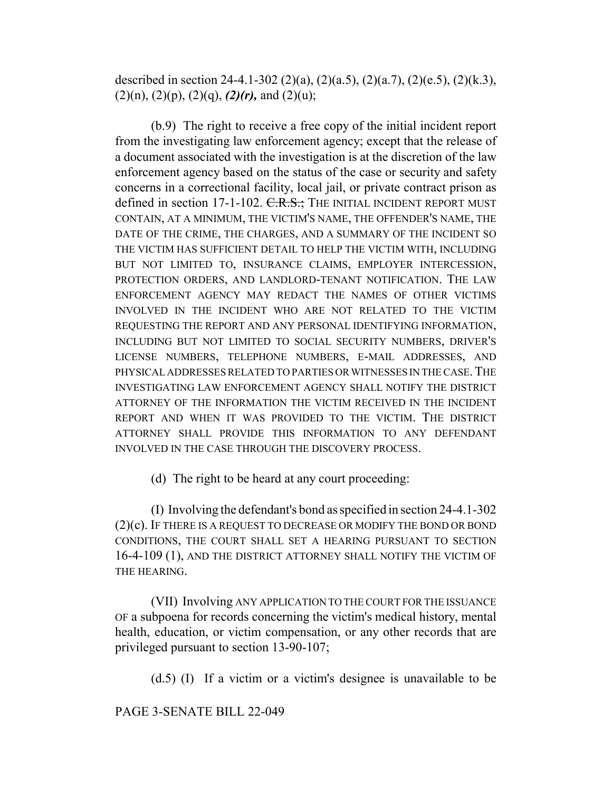described in section 24-4.1-302 (2)(a), (2)(a.5), (2)(a.7), (2)(e.5), (2)(k.3),  $(2)(n)$ ,  $(2)(p)$ ,  $(2)(q)$ ,  $(2)(r)$ , and  $(2)(u)$ ;

(b.9) The right to receive a free copy of the initial incident report from the investigating law enforcement agency; except that the release of a document associated with the investigation is at the discretion of the law enforcement agency based on the status of the case or security and safety concerns in a correctional facility, local jail, or private contract prison as defined in section 17-1-102. C.R.S.; THE INITIAL INCIDENT REPORT MUST CONTAIN, AT A MINIMUM, THE VICTIM'S NAME, THE OFFENDER'S NAME, THE DATE OF THE CRIME, THE CHARGES, AND A SUMMARY OF THE INCIDENT SO THE VICTIM HAS SUFFICIENT DETAIL TO HELP THE VICTIM WITH, INCLUDING BUT NOT LIMITED TO, INSURANCE CLAIMS, EMPLOYER INTERCESSION, PROTECTION ORDERS, AND LANDLORD-TENANT NOTIFICATION. THE LAW ENFORCEMENT AGENCY MAY REDACT THE NAMES OF OTHER VICTIMS INVOLVED IN THE INCIDENT WHO ARE NOT RELATED TO THE VICTIM REQUESTING THE REPORT AND ANY PERSONAL IDENTIFYING INFORMATION, INCLUDING BUT NOT LIMITED TO SOCIAL SECURITY NUMBERS, DRIVER'S LICENSE NUMBERS, TELEPHONE NUMBERS, E-MAIL ADDRESSES, AND PHYSICAL ADDRESSES RELATED TO PARTIES OR WITNESSES IN THE CASE.THE INVESTIGATING LAW ENFORCEMENT AGENCY SHALL NOTIFY THE DISTRICT ATTORNEY OF THE INFORMATION THE VICTIM RECEIVED IN THE INCIDENT REPORT AND WHEN IT WAS PROVIDED TO THE VICTIM. THE DISTRICT ATTORNEY SHALL PROVIDE THIS INFORMATION TO ANY DEFENDANT INVOLVED IN THE CASE THROUGH THE DISCOVERY PROCESS.

(d) The right to be heard at any court proceeding:

(I) Involving the defendant's bond as specified in section 24-4.1-302 (2)(c). IF THERE IS A REQUEST TO DECREASE OR MODIFY THE BOND OR BOND CONDITIONS, THE COURT SHALL SET A HEARING PURSUANT TO SECTION 16-4-109 (1), AND THE DISTRICT ATTORNEY SHALL NOTIFY THE VICTIM OF THE HEARING.

(VII) Involving ANY APPLICATION TO THE COURT FOR THE ISSUANCE OF a subpoena for records concerning the victim's medical history, mental health, education, or victim compensation, or any other records that are privileged pursuant to section 13-90-107;

(d.5) (I) If a victim or a victim's designee is unavailable to be

PAGE 3-SENATE BILL 22-049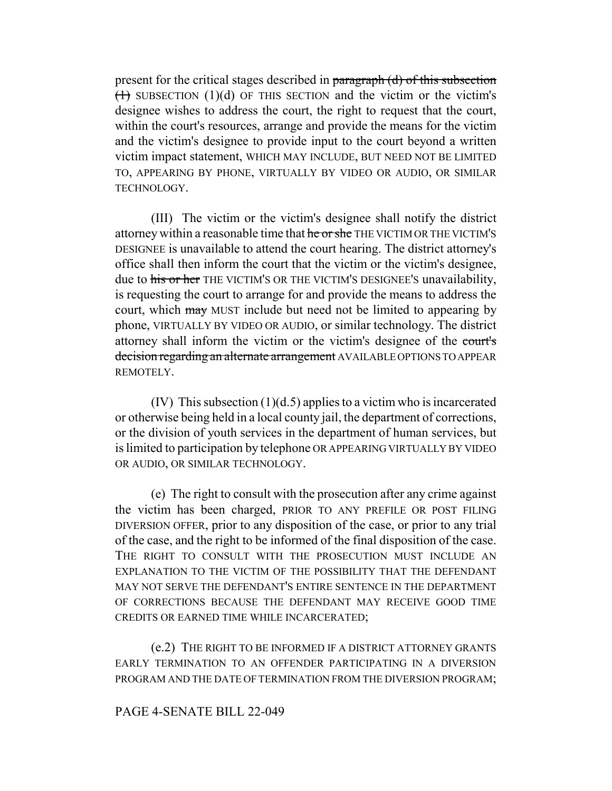present for the critical stages described in paragraph (d) of this subsection  $(1)$  SUBSECTION (1)(d) OF THIS SECTION and the victim or the victim's designee wishes to address the court, the right to request that the court, within the court's resources, arrange and provide the means for the victim and the victim's designee to provide input to the court beyond a written victim impact statement, WHICH MAY INCLUDE, BUT NEED NOT BE LIMITED TO, APPEARING BY PHONE, VIRTUALLY BY VIDEO OR AUDIO, OR SIMILAR TECHNOLOGY.

(III) The victim or the victim's designee shall notify the district attorney within a reasonable time that he or she THE VICTIM OR THE VICTIM'S DESIGNEE is unavailable to attend the court hearing. The district attorney's office shall then inform the court that the victim or the victim's designee, due to his or her THE VICTIM'S OR THE VICTIM'S DESIGNEE'S unavailability, is requesting the court to arrange for and provide the means to address the court, which may MUST include but need not be limited to appearing by phone, VIRTUALLY BY VIDEO OR AUDIO, or similar technology. The district attorney shall inform the victim or the victim's designee of the court's decision regarding an alternate arrangement AVAILABLE OPTIONS TO APPEAR REMOTELY.

(IV) This subsection  $(1)(d.5)$  applies to a victim who is incarcerated or otherwise being held in a local county jail, the department of corrections, or the division of youth services in the department of human services, but is limited to participation by telephone OR APPEARING VIRTUALLY BY VIDEO OR AUDIO, OR SIMILAR TECHNOLOGY.

(e) The right to consult with the prosecution after any crime against the victim has been charged, PRIOR TO ANY PREFILE OR POST FILING DIVERSION OFFER, prior to any disposition of the case, or prior to any trial of the case, and the right to be informed of the final disposition of the case. THE RIGHT TO CONSULT WITH THE PROSECUTION MUST INCLUDE AN EXPLANATION TO THE VICTIM OF THE POSSIBILITY THAT THE DEFENDANT MAY NOT SERVE THE DEFENDANT'S ENTIRE SENTENCE IN THE DEPARTMENT OF CORRECTIONS BECAUSE THE DEFENDANT MAY RECEIVE GOOD TIME CREDITS OR EARNED TIME WHILE INCARCERATED;

(e.2) THE RIGHT TO BE INFORMED IF A DISTRICT ATTORNEY GRANTS EARLY TERMINATION TO AN OFFENDER PARTICIPATING IN A DIVERSION PROGRAM AND THE DATE OF TERMINATION FROM THE DIVERSION PROGRAM;

### PAGE 4-SENATE BILL 22-049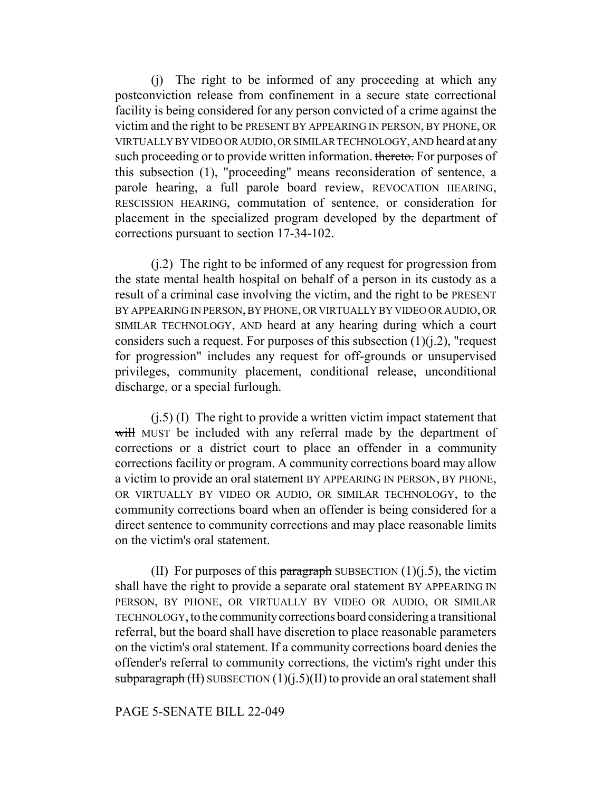(j) The right to be informed of any proceeding at which any postconviction release from confinement in a secure state correctional facility is being considered for any person convicted of a crime against the victim and the right to be PRESENT BY APPEARING IN PERSON, BY PHONE, OR VIRTUALLY BY VIDEO OR AUDIO, OR SIMILAR TECHNOLOGY, AND heard at any such proceeding or to provide written information. thereto. For purposes of this subsection (1), "proceeding" means reconsideration of sentence, a parole hearing, a full parole board review, REVOCATION HEARING, RESCISSION HEARING, commutation of sentence, or consideration for placement in the specialized program developed by the department of corrections pursuant to section 17-34-102.

(j.2) The right to be informed of any request for progression from the state mental health hospital on behalf of a person in its custody as a result of a criminal case involving the victim, and the right to be PRESENT BY APPEARING IN PERSON, BY PHONE, OR VIRTUALLY BY VIDEO OR AUDIO, OR SIMILAR TECHNOLOGY, AND heard at any hearing during which a court considers such a request. For purposes of this subsection  $(1)(i.2)$ , "request for progression" includes any request for off-grounds or unsupervised privileges, community placement, conditional release, unconditional discharge, or a special furlough.

 $(i.5)$  (I) The right to provide a written victim impact statement that will MUST be included with any referral made by the department of corrections or a district court to place an offender in a community corrections facility or program. A community corrections board may allow a victim to provide an oral statement BY APPEARING IN PERSON, BY PHONE, OR VIRTUALLY BY VIDEO OR AUDIO, OR SIMILAR TECHNOLOGY, to the community corrections board when an offender is being considered for a direct sentence to community corrections and may place reasonable limits on the victim's oral statement.

(II) For purposes of this paragraph SUBSECTION  $(1)(j.5)$ , the victim shall have the right to provide a separate oral statement BY APPEARING IN PERSON, BY PHONE, OR VIRTUALLY BY VIDEO OR AUDIO, OR SIMILAR TECHNOLOGY, to the community corrections board considering a transitional referral, but the board shall have discretion to place reasonable parameters on the victim's oral statement. If a community corrections board denies the offender's referral to community corrections, the victim's right under this subparagraph  $(H)$  SUBSECTION  $(1)(i.5)(II)$  to provide an oral statement shall

## PAGE 5-SENATE BILL 22-049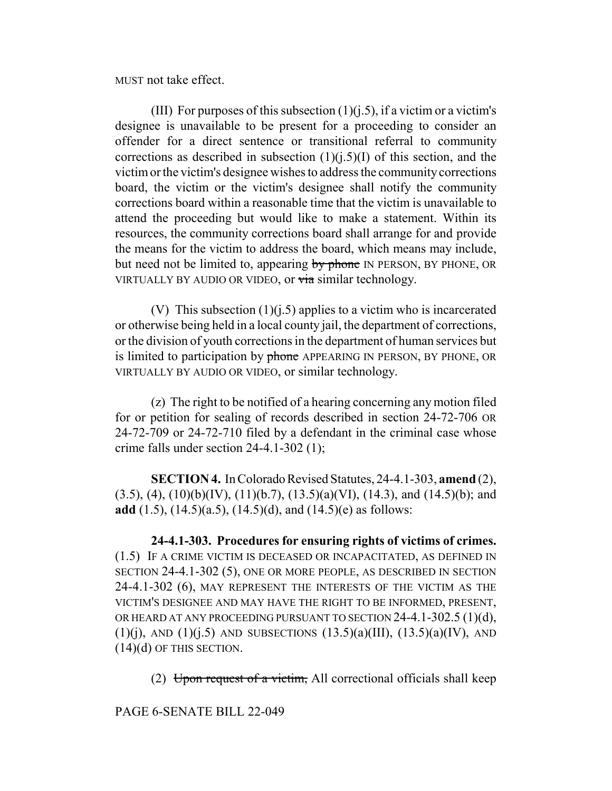MUST not take effect.

(III) For purposes of this subsection  $(1)(i.5)$ , if a victim or a victim's designee is unavailable to be present for a proceeding to consider an offender for a direct sentence or transitional referral to community corrections as described in subsection  $(1)(i.5)(I)$  of this section, and the victim or the victim's designee wishes to address the community corrections board, the victim or the victim's designee shall notify the community corrections board within a reasonable time that the victim is unavailable to attend the proceeding but would like to make a statement. Within its resources, the community corrections board shall arrange for and provide the means for the victim to address the board, which means may include, but need not be limited to, appearing by phone IN PERSON, BY PHONE, OR VIRTUALLY BY AUDIO OR VIDEO, or via similar technology.

(V) This subsection  $(1)(i.5)$  applies to a victim who is incarcerated or otherwise being held in a local county jail, the department of corrections, or the division of youth corrections in the department of human services but is limited to participation by phone APPEARING IN PERSON, BY PHONE, OR VIRTUALLY BY AUDIO OR VIDEO, or similar technology.

(z) The right to be notified of a hearing concerning any motion filed for or petition for sealing of records described in section 24-72-706 OR 24-72-709 or 24-72-710 filed by a defendant in the criminal case whose crime falls under section 24-4.1-302 (1);

**SECTION 4.** In Colorado Revised Statutes, 24-4.1-303, **amend** (2),  $(3.5)$ ,  $(4)$ ,  $(10)(b)(IV)$ ,  $(11)(b.7)$ ,  $(13.5)(a)(VI)$ ,  $(14.3)$ , and  $(14.5)(b)$ ; and **add** (1.5), (14.5)(a.5), (14.5)(d), and (14.5)(e) as follows:

**24-4.1-303. Procedures for ensuring rights of victims of crimes.** (1.5) IF A CRIME VICTIM IS DECEASED OR INCAPACITATED, AS DEFINED IN SECTION 24-4.1-302 (5), ONE OR MORE PEOPLE, AS DESCRIBED IN SECTION 24-4.1-302 (6), MAY REPRESENT THE INTERESTS OF THE VICTIM AS THE VICTIM'S DESIGNEE AND MAY HAVE THE RIGHT TO BE INFORMED, PRESENT, OR HEARD AT ANY PROCEEDING PURSUANT TO SECTION 24-4.1-302.5 (1)(d),  $(1)(i)$ , AND  $(1)(i.5)$  AND SUBSECTIONS  $(13.5)(a)(III)$ ,  $(13.5)(a)(IV)$ , AND (14)(d) OF THIS SECTION.

(2) Upon request of a victim, All correctional officials shall keep

PAGE 6-SENATE BILL 22-049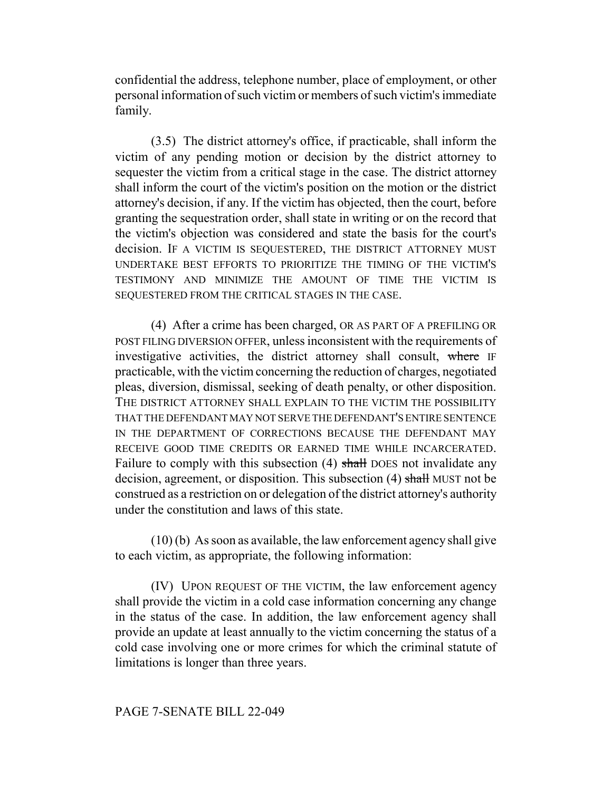confidential the address, telephone number, place of employment, or other personal information of such victim or members of such victim's immediate family.

(3.5) The district attorney's office, if practicable, shall inform the victim of any pending motion or decision by the district attorney to sequester the victim from a critical stage in the case. The district attorney shall inform the court of the victim's position on the motion or the district attorney's decision, if any. If the victim has objected, then the court, before granting the sequestration order, shall state in writing or on the record that the victim's objection was considered and state the basis for the court's decision. IF A VICTIM IS SEQUESTERED, THE DISTRICT ATTORNEY MUST UNDERTAKE BEST EFFORTS TO PRIORITIZE THE TIMING OF THE VICTIM'S TESTIMONY AND MINIMIZE THE AMOUNT OF TIME THE VICTIM IS SEQUESTERED FROM THE CRITICAL STAGES IN THE CASE.

(4) After a crime has been charged, OR AS PART OF A PREFILING OR POST FILING DIVERSION OFFER, unless inconsistent with the requirements of investigative activities, the district attorney shall consult, where IF practicable, with the victim concerning the reduction of charges, negotiated pleas, diversion, dismissal, seeking of death penalty, or other disposition. THE DISTRICT ATTORNEY SHALL EXPLAIN TO THE VICTIM THE POSSIBILITY THAT THE DEFENDANT MAY NOT SERVE THE DEFENDANT'S ENTIRE SENTENCE IN THE DEPARTMENT OF CORRECTIONS BECAUSE THE DEFENDANT MAY RECEIVE GOOD TIME CREDITS OR EARNED TIME WHILE INCARCERATED. Failure to comply with this subsection (4) shall DOES not invalidate any decision, agreement, or disposition. This subsection (4) shall MUST not be construed as a restriction on or delegation of the district attorney's authority under the constitution and laws of this state.

(10) (b) As soon as available, the law enforcement agency shall give to each victim, as appropriate, the following information:

(IV) UPON REQUEST OF THE VICTIM, the law enforcement agency shall provide the victim in a cold case information concerning any change in the status of the case. In addition, the law enforcement agency shall provide an update at least annually to the victim concerning the status of a cold case involving one or more crimes for which the criminal statute of limitations is longer than three years.

### PAGE 7-SENATE BILL 22-049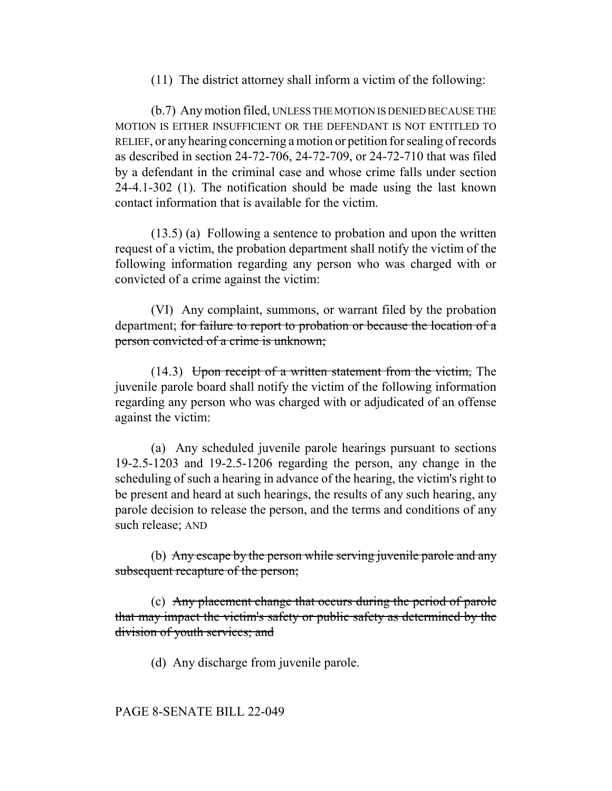(11) The district attorney shall inform a victim of the following:

(b.7) Any motion filed, UNLESS THE MOTION IS DENIED BECAUSE THE MOTION IS EITHER INSUFFICIENT OR THE DEFENDANT IS NOT ENTITLED TO RELIEF, or any hearing concerning a motion or petition for sealing of records as described in section 24-72-706, 24-72-709, or 24-72-710 that was filed by a defendant in the criminal case and whose crime falls under section 24-4.1-302 (1). The notification should be made using the last known contact information that is available for the victim.

(13.5) (a) Following a sentence to probation and upon the written request of a victim, the probation department shall notify the victim of the following information regarding any person who was charged with or convicted of a crime against the victim:

(VI) Any complaint, summons, or warrant filed by the probation department; for failure to report to probation or because the location of a person convicted of a crime is unknown;

 $(14.3)$  Upon receipt of a written statement from the victim, The juvenile parole board shall notify the victim of the following information regarding any person who was charged with or adjudicated of an offense against the victim:

(a) Any scheduled juvenile parole hearings pursuant to sections 19-2.5-1203 and 19-2.5-1206 regarding the person, any change in the scheduling of such a hearing in advance of the hearing, the victim's right to be present and heard at such hearings, the results of any such hearing, any parole decision to release the person, and the terms and conditions of any such release; AND

(b) Any escape by the person while serving juvenile parole and any subsequent recapture of the person;

(c) Any placement change that occurs during the period of parole that may impact the victim's safety or public safety as determined by the division of youth services; and

(d) Any discharge from juvenile parole.

# PAGE 8-SENATE BILL 22-049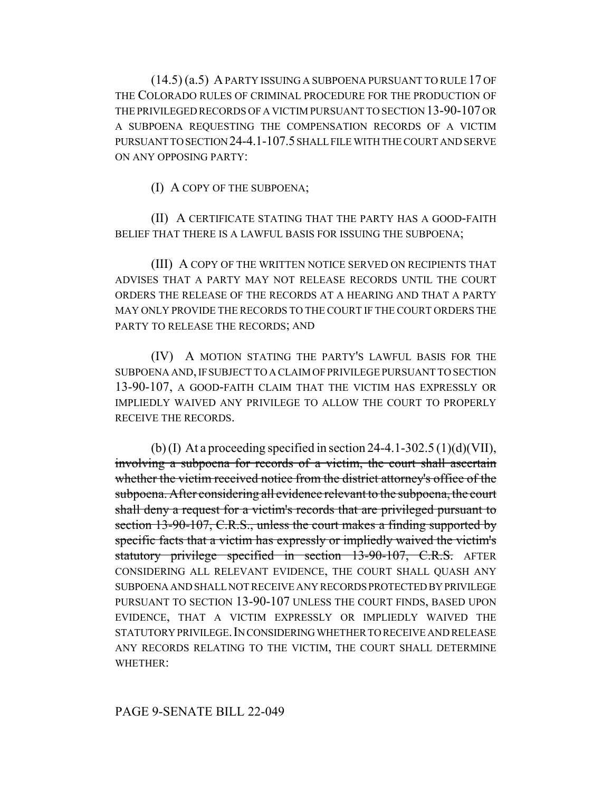(14.5) (a.5) A PARTY ISSUING A SUBPOENA PURSUANT TO RULE 17 OF THE COLORADO RULES OF CRIMINAL PROCEDURE FOR THE PRODUCTION OF THE PRIVILEGED RECORDS OF A VICTIM PURSUANT TO SECTION 13-90-107 OR A SUBPOENA REQUESTING THE COMPENSATION RECORDS OF A VICTIM PURSUANT TO SECTION 24-4.1-107.5 SHALL FILE WITH THE COURT AND SERVE ON ANY OPPOSING PARTY:

(I) A COPY OF THE SUBPOENA;

(II) A CERTIFICATE STATING THAT THE PARTY HAS A GOOD-FAITH BELIEF THAT THERE IS A LAWFUL BASIS FOR ISSUING THE SUBPOENA;

(III) A COPY OF THE WRITTEN NOTICE SERVED ON RECIPIENTS THAT ADVISES THAT A PARTY MAY NOT RELEASE RECORDS UNTIL THE COURT ORDERS THE RELEASE OF THE RECORDS AT A HEARING AND THAT A PARTY MAY ONLY PROVIDE THE RECORDS TO THE COURT IF THE COURT ORDERS THE PARTY TO RELEASE THE RECORDS; AND

(IV) A MOTION STATING THE PARTY'S LAWFUL BASIS FOR THE SUBPOENA AND, IF SUBJECT TO A CLAIM OF PRIVILEGE PURSUANT TO SECTION 13-90-107, A GOOD-FAITH CLAIM THAT THE VICTIM HAS EXPRESSLY OR IMPLIEDLY WAIVED ANY PRIVILEGE TO ALLOW THE COURT TO PROPERLY RECEIVE THE RECORDS.

(b) (I) At a proceeding specified in section 24-4.1-302.5 (1)(d)(VII), involving a subpoena for records of a victim, the court shall ascertain whether the victim received notice from the district attorney's office of the subpoena. After considering all evidence relevant to the subpoena, the court shall deny a request for a victim's records that are privileged pursuant to section 13-90-107, C.R.S., unless the court makes a finding supported by specific facts that a victim has expressly or impliedly waived the victim's statutory privilege specified in section 13-90-107, C.R.S. AFTER CONSIDERING ALL RELEVANT EVIDENCE, THE COURT SHALL QUASH ANY SUBPOENA AND SHALL NOT RECEIVE ANY RECORDS PROTECTED BY PRIVILEGE PURSUANT TO SECTION 13-90-107 UNLESS THE COURT FINDS, BASED UPON EVIDENCE, THAT A VICTIM EXPRESSLY OR IMPLIEDLY WAIVED THE STATUTORY PRIVILEGE.IN CONSIDERING WHETHER TO RECEIVE AND RELEASE ANY RECORDS RELATING TO THE VICTIM, THE COURT SHALL DETERMINE WHETHER: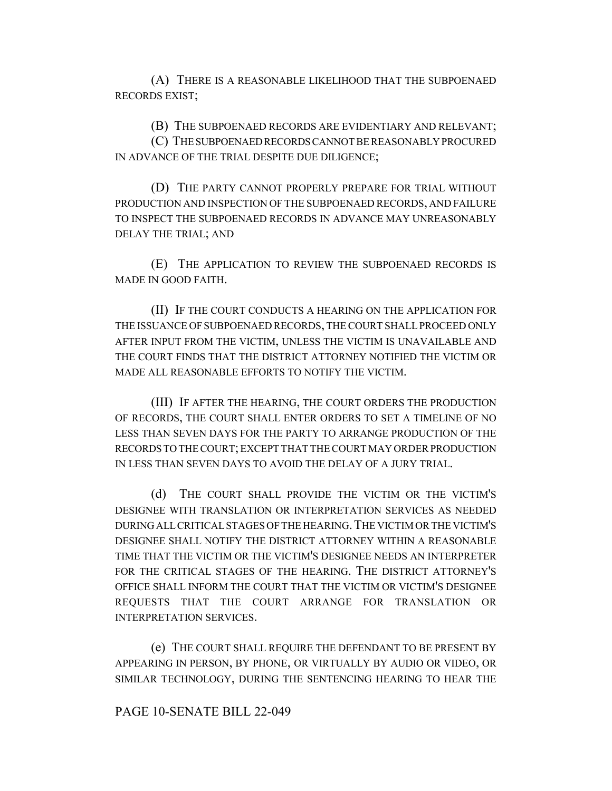(A) THERE IS A REASONABLE LIKELIHOOD THAT THE SUBPOENAED RECORDS EXIST;

(B) THE SUBPOENAED RECORDS ARE EVIDENTIARY AND RELEVANT;

(C) THE SUBPOENAED RECORDS CANNOT BE REASONABLY PROCURED IN ADVANCE OF THE TRIAL DESPITE DUE DILIGENCE;

(D) THE PARTY CANNOT PROPERLY PREPARE FOR TRIAL WITHOUT PRODUCTION AND INSPECTION OF THE SUBPOENAED RECORDS, AND FAILURE TO INSPECT THE SUBPOENAED RECORDS IN ADVANCE MAY UNREASONABLY DELAY THE TRIAL; AND

(E) THE APPLICATION TO REVIEW THE SUBPOENAED RECORDS IS MADE IN GOOD FAITH.

(II) IF THE COURT CONDUCTS A HEARING ON THE APPLICATION FOR THE ISSUANCE OF SUBPOENAED RECORDS, THE COURT SHALL PROCEED ONLY AFTER INPUT FROM THE VICTIM, UNLESS THE VICTIM IS UNAVAILABLE AND THE COURT FINDS THAT THE DISTRICT ATTORNEY NOTIFIED THE VICTIM OR MADE ALL REASONABLE EFFORTS TO NOTIFY THE VICTIM.

(III) IF AFTER THE HEARING, THE COURT ORDERS THE PRODUCTION OF RECORDS, THE COURT SHALL ENTER ORDERS TO SET A TIMELINE OF NO LESS THAN SEVEN DAYS FOR THE PARTY TO ARRANGE PRODUCTION OF THE RECORDS TO THE COURT; EXCEPT THAT THE COURT MAY ORDER PRODUCTION IN LESS THAN SEVEN DAYS TO AVOID THE DELAY OF A JURY TRIAL.

(d) THE COURT SHALL PROVIDE THE VICTIM OR THE VICTIM'S DESIGNEE WITH TRANSLATION OR INTERPRETATION SERVICES AS NEEDED DURING ALL CRITICAL STAGES OF THE HEARING.THE VICTIM OR THE VICTIM'S DESIGNEE SHALL NOTIFY THE DISTRICT ATTORNEY WITHIN A REASONABLE TIME THAT THE VICTIM OR THE VICTIM'S DESIGNEE NEEDS AN INTERPRETER FOR THE CRITICAL STAGES OF THE HEARING. THE DISTRICT ATTORNEY'S OFFICE SHALL INFORM THE COURT THAT THE VICTIM OR VICTIM'S DESIGNEE REQUESTS THAT THE COURT ARRANGE FOR TRANSLATION OR INTERPRETATION SERVICES.

(e) THE COURT SHALL REQUIRE THE DEFENDANT TO BE PRESENT BY APPEARING IN PERSON, BY PHONE, OR VIRTUALLY BY AUDIO OR VIDEO, OR SIMILAR TECHNOLOGY, DURING THE SENTENCING HEARING TO HEAR THE

#### PAGE 10-SENATE BILL 22-049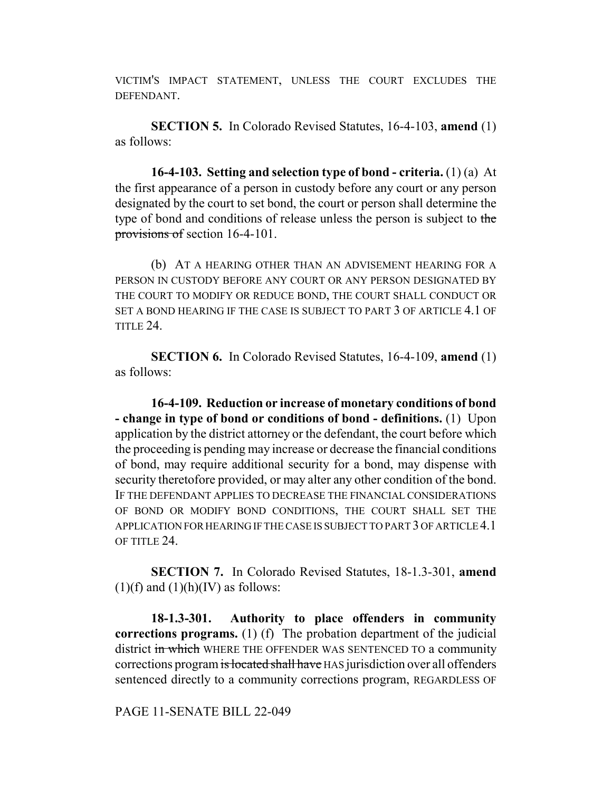VICTIM'S IMPACT STATEMENT, UNLESS THE COURT EXCLUDES THE DEFENDANT.

**SECTION 5.** In Colorado Revised Statutes, 16-4-103, **amend** (1) as follows:

**16-4-103. Setting and selection type of bond - criteria.** (1) (a) At the first appearance of a person in custody before any court or any person designated by the court to set bond, the court or person shall determine the type of bond and conditions of release unless the person is subject to the provisions of section 16-4-101.

(b) AT A HEARING OTHER THAN AN ADVISEMENT HEARING FOR A PERSON IN CUSTODY BEFORE ANY COURT OR ANY PERSON DESIGNATED BY THE COURT TO MODIFY OR REDUCE BOND, THE COURT SHALL CONDUCT OR SET A BOND HEARING IF THE CASE IS SUBJECT TO PART 3 OF ARTICLE 4.1 OF TITLE 24.

**SECTION 6.** In Colorado Revised Statutes, 16-4-109, **amend** (1) as follows:

**16-4-109. Reduction or increase of monetary conditions of bond - change in type of bond or conditions of bond - definitions.** (1) Upon application by the district attorney or the defendant, the court before which the proceeding is pending may increase or decrease the financial conditions of bond, may require additional security for a bond, may dispense with security theretofore provided, or may alter any other condition of the bond. IF THE DEFENDANT APPLIES TO DECREASE THE FINANCIAL CONSIDERATIONS OF BOND OR MODIFY BOND CONDITIONS, THE COURT SHALL SET THE APPLICATION FOR HEARING IF THE CASE IS SUBJECT TO PART 3 OF ARTICLE 4.1 OF TITLE 24

**SECTION 7.** In Colorado Revised Statutes, 18-1.3-301, **amend**  $(1)(f)$  and  $(1)(h)(IV)$  as follows:

**18-1.3-301. Authority to place offenders in community corrections programs.** (1) (f) The probation department of the judicial district in which WHERE THE OFFENDER WAS SENTENCED TO a community corrections program is located shall have HAS jurisdiction over all offenders sentenced directly to a community corrections program, REGARDLESS OF

PAGE 11-SENATE BILL 22-049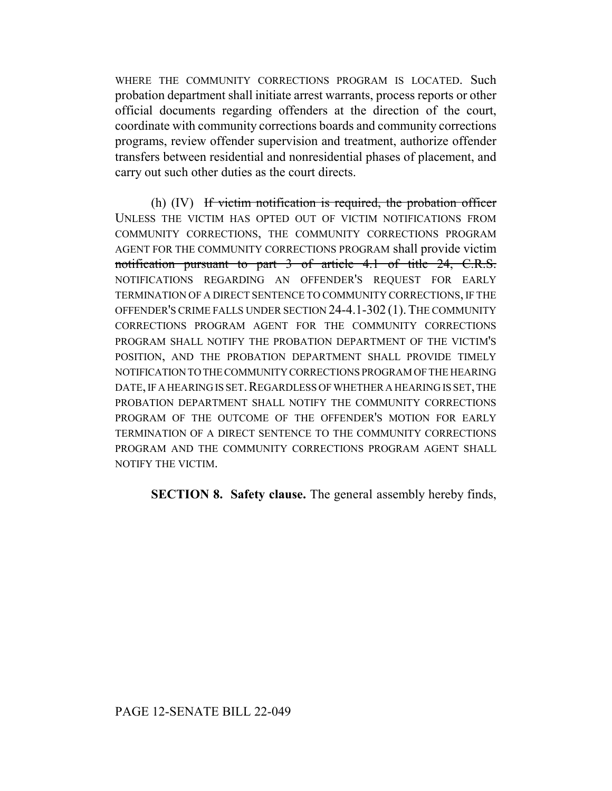WHERE THE COMMUNITY CORRECTIONS PROGRAM IS LOCATED. Such probation department shall initiate arrest warrants, process reports or other official documents regarding offenders at the direction of the court, coordinate with community corrections boards and community corrections programs, review offender supervision and treatment, authorize offender transfers between residential and nonresidential phases of placement, and carry out such other duties as the court directs.

(h) (IV) If victim notification is required, the probation officer UNLESS THE VICTIM HAS OPTED OUT OF VICTIM NOTIFICATIONS FROM COMMUNITY CORRECTIONS, THE COMMUNITY CORRECTIONS PROGRAM AGENT FOR THE COMMUNITY CORRECTIONS PROGRAM shall provide victim notification pursuant to part 3 of article 4.1 of title 24, C.R.S. NOTIFICATIONS REGARDING AN OFFENDER'S REQUEST FOR EARLY TERMINATION OF A DIRECT SENTENCE TO COMMUNITY CORRECTIONS, IF THE OFFENDER'S CRIME FALLS UNDER SECTION 24-4.1-302 (1).THE COMMUNITY CORRECTIONS PROGRAM AGENT FOR THE COMMUNITY CORRECTIONS PROGRAM SHALL NOTIFY THE PROBATION DEPARTMENT OF THE VICTIM'S POSITION, AND THE PROBATION DEPARTMENT SHALL PROVIDE TIMELY NOTIFICATION TO THE COMMUNITY CORRECTIONS PROGRAM OF THE HEARING DATE, IF A HEARING IS SET. REGARDLESS OF WHETHER A HEARING IS SET, THE PROBATION DEPARTMENT SHALL NOTIFY THE COMMUNITY CORRECTIONS PROGRAM OF THE OUTCOME OF THE OFFENDER'S MOTION FOR EARLY TERMINATION OF A DIRECT SENTENCE TO THE COMMUNITY CORRECTIONS PROGRAM AND THE COMMUNITY CORRECTIONS PROGRAM AGENT SHALL NOTIFY THE VICTIM.

**SECTION 8. Safety clause.** The general assembly hereby finds,